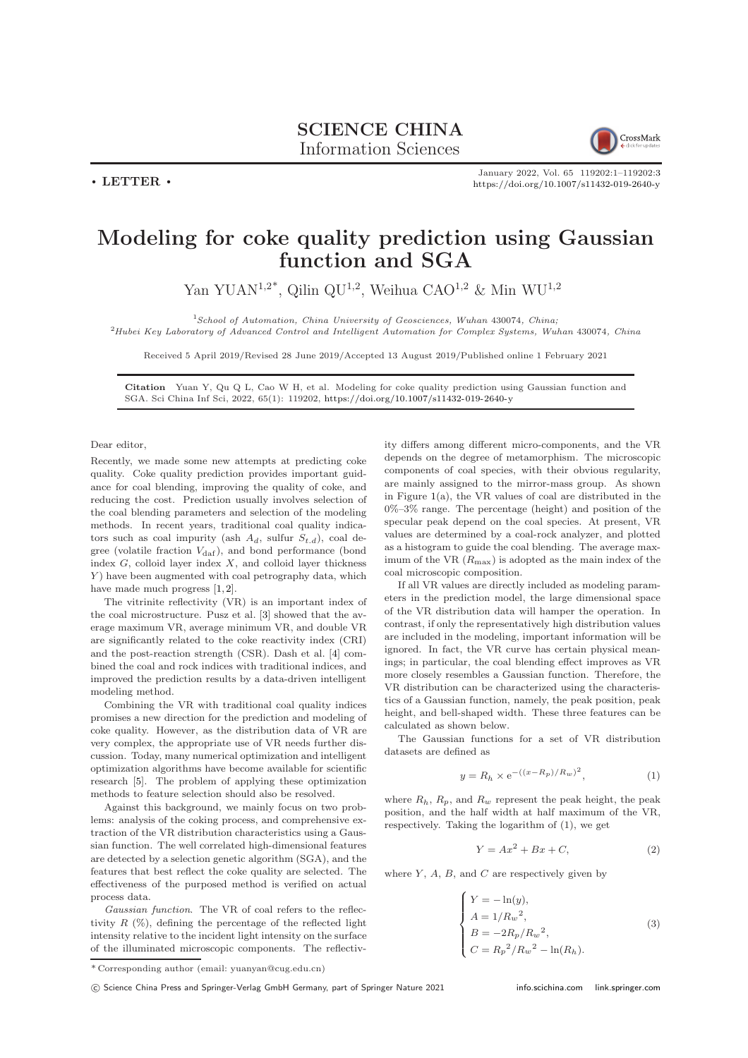

January 2022, Vol. 65 119202:1–119202[:3](#page-2-0) <https://doi.org/10.1007/s11432-019-2640-y>

## Modeling for coke quality prediction using Gaussian function and SGA

Yan YUAN<sup>1,2\*</sup>, Qilin QU<sup>1,2</sup>, Weihua CAO<sup>1,2</sup> & Min WU<sup>1,2</sup>

<sup>1</sup>School of Automation, China University of Geosciences, Wuhan 430074, China;

<sup>2</sup>Hubei Key Laboratory of Advanced Control and Intelligent Automation for Complex Systems, Wuhan 430074, China

Received 5 April 2019/Revised 28 June 2019/Accepted 13 August 2019/Published online 1 February 2021

Citation Yuan Y, Qu Q L, Cao W H, et al. Modeling for coke quality prediction using Gaussian function and SGA. Sci China Inf Sci, 2022, 65(1): 119202, <https://doi.org/10.1007/s11432-019-2640-y>

Dear editor,

 $\cdot$  LETTER  $\cdot$ 

Recently, we made some new attempts at predicting coke quality. Coke quality prediction provides important guidance for coal blending, improving the quality of coke, and reducing the cost. Prediction usually involves selection of the coal blending parameters and selection of the modeling methods. In recent years, traditional coal quality indicators such as coal impurity (ash  $A_d$ , sulfur  $S_{t,d}$ ), coal degree (volatile fraction  $V_{\text{daf}}$ ), and bond performance (bond index  $G$ , colloid layer index  $X$ , and colloid layer thickness Y) have been augmented with coal petrography data, which have made much progress  $[1, 2]$  $[1, 2]$ .

The vitrinite reflectivity (VR) is an important index of the coal microstructure. Pusz et al. [\[3\]](#page-2-3) showed that the average maximum VR, average minimum VR, and double VR are significantly related to the coke reactivity index (CRI) and the post-reaction strength (CSR). Dash et al. [\[4\]](#page-2-4) combined the coal and rock indices with traditional indices, and improved the prediction results by a data-driven intelligent modeling method.

Combining the VR with traditional coal quality indices promises a new direction for the prediction and modeling of coke quality. However, as the distribution data of VR are very complex, the appropriate use of VR needs further discussion. Today, many numerical optimization and intelligent optimization algorithms have become available for scientific research [\[5\]](#page-2-5). The problem of applying these optimization methods to feature selection should also be resolved.

Against this background, we mainly focus on two problems: analysis of the coking process, and comprehensive extraction of the VR distribution characteristics using a Gaussian function. The well correlated high-dimensional features are detected by a selection genetic algorithm (SGA), and the features that best reflect the coke quality are selected. The effectiveness of the purposed method is verified on actual process data.

Gaussian function. The VR of coal refers to the reflectivity  $R$  (%), defining the percentage of the reflected light intensity relative to the incident light intensity on the surface of the illuminated microscopic components. The reflectiv-

 $^\ast$  Corresponding author (email: yuanyan@cug.edu.cn)

c Science China Press and Springer-Verlag GmbH Germany, part of Springer Nature 2021 <info.scichina.com><link.springer.com>

ity differs among different micro-components, and the VR depends on the degree of metamorphism. The microscopic components of coal species, with their obvious regularity, are mainly assigned to the mirror-mass group. As shown in Figure [1\(](#page-1-0)a), the VR values of coal are distributed in the 0%–3% range. The percentage (height) and position of the specular peak depend on the coal species. At present, VR values are determined by a coal-rock analyzer, and plotted as a histogram to guide the coal blending. The average maximum of the VR  $(R_{\text{max}})$  is adopted as the main index of the coal microscopic composition.

If all VR values are directly included as modeling parameters in the prediction model, the large dimensional space of the VR distribution data will hamper the operation. In contrast, if only the representatively high distribution values are included in the modeling, important information will be ignored. In fact, the VR curve has certain physical meanings; in particular, the coal blending effect improves as VR more closely resembles a Gaussian function. Therefore, the VR distribution can be characterized using the characteristics of a Gaussian function, namely, the peak position, peak height, and bell-shaped width. These three features can be calculated as shown below.

The Gaussian functions for a set of VR distribution datasets are defined as

$$
y = R_h \times e^{-((x - R_p)/R_w)^2}, \tag{1}
$$

where  $R_h$ ,  $R_p$ , and  $R_w$  represent the peak height, the peak position, and the half width at half maximum of the VR, respectively. Taking the logarithm of (1), we get

$$
Y = Ax^2 + Bx + C,\t\t(2)
$$

where  $Y$ ,  $A$ ,  $B$ , and  $C$  are respectively given by

$$
\begin{cases}\nY = -\ln(y), \\
A = 1/R_w^2, \\
B = -2R_p/R_w^2, \\
C = R_p^2/R_w^2 - \ln(R_h).\n\end{cases}
$$
\n(3)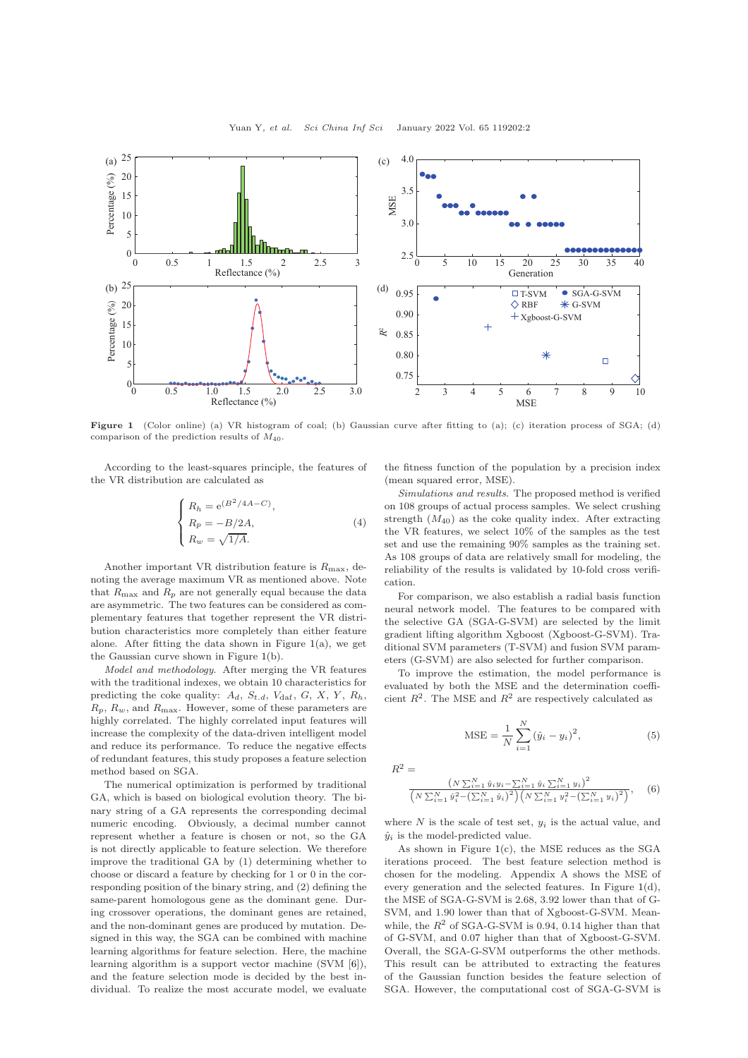<span id="page-1-0"></span>

Figure 1 (Color online) (a) VR histogram of coal; (b) Gaussian curve after fitting to (a); (c) iteration process of SGA; (d) comparison of the prediction results of  $M_{40}$ .

According to the least-squares principle, the features of the VR distribution are calculated as

$$
\begin{cases}\nR_h = e^{(B^2/4A-C)},\\ \nR_p = -B/2A,\\ \nR_w = \sqrt{1/A}.\n\end{cases}
$$
\n(4)

Another important VR distribution feature is  $R_{\text{max}}$ , denoting the average maximum VR as mentioned above. Note that  $R_{\text{max}}$  and  $R_p$  are not generally equal because the data are asymmetric. The two features can be considered as complementary features that together represent the VR distribution characteristics more completely than either feature alone. After fitting the data shown in Figure [1\(](#page-1-0)a), we get the Gaussian curve shown in Figure [1\(](#page-1-0)b).

Model and methodology. After merging the VR features with the traditional indexes, we obtain 10 characteristics for predicting the coke quality:  $A_d$ ,  $S_{t,d}$ ,  $V_{\text{daf}}$ ,  $G$ ,  $X$ ,  $Y$ ,  $R_h$ ,  $R_p$ ,  $R_w$ , and  $R_{\text{max}}$ . However, some of these parameters are highly correlated. The highly correlated input features will increase the complexity of the data-driven intelligent model and reduce its performance. To reduce the negative effects of redundant features, this study proposes a feature selection method based on SGA.

The numerical optimization is performed by traditional GA, which is based on biological evolution theory. The binary string of a GA represents the corresponding decimal numeric encoding. Obviously, a decimal number cannot represent whether a feature is chosen or not, so the GA is not directly applicable to feature selection. We therefore improve the traditional GA by (1) determining whether to choose or discard a feature by checking for 1 or 0 in the corresponding position of the binary string, and (2) defining the same-parent homologous gene as the dominant gene. During crossover operations, the dominant genes are retained, and the non-dominant genes are produced by mutation. Designed in this way, the SGA can be combined with machine learning algorithms for feature selection. Here, the machine learning algorithm is a support vector machine (SVM [\[6\]](#page-2-6)), and the feature selection mode is decided by the best individual. To realize the most accurate model, we evaluate

the fitness function of the population by a precision index (mean squared error, MSE).

Simulations and results. The proposed method is verified on 108 groups of actual process samples. We select crushing strength  $(M_{40})$  as the coke quality index. After extracting the VR features, we select 10% of the samples as the test set and use the remaining 90% samples as the training set. As 108 groups of data are relatively small for modeling, the reliability of the results is validated by 10-fold cross verification.

For comparison, we also establish a radial basis function neural network model. The features to be compared with the selective GA (SGA-G-SVM) are selected by the limit gradient lifting algorithm Xgboost (Xgboost-G-SVM). Traditional SVM parameters (T-SVM) and fusion SVM parameters (G-SVM) are also selected for further comparison.

To improve the estimation, the model performance is evaluated by both the MSE and the determination coefficient  $R^2$ . The MSE and  $R^2$  are respectively calculated as

$$
MSE = \frac{1}{N} \sum_{i=1}^{N} (\hat{y}_i - y_i)^2,
$$
\n(5)

 $R^2 =$ 

$$
\frac{\left(N\sum_{i=1}^{N}\hat{y}_{i}y_{i}-\sum_{i=1}^{N}\hat{y}_{i}\sum_{i=1}^{N}y_{i}\right)^{2}}{\left(N\sum_{i=1}^{N}\hat{y}_{i}^{2}-\left(\sum_{i=1}^{N}\hat{y}_{i}\right)^{2}\right)\left(N\sum_{i=1}^{N}y_{i}^{2}-\left(\sum_{i=1}^{N}y_{i}\right)^{2}\right)},\quad(6)
$$

where  $N$  is the scale of test set,  $y_i$  is the actual value, and  $\hat{y}_i$  is the model-predicted value.

As shown in Figure  $1(c)$  $1(c)$ , the MSE reduces as the SGA iterations proceed. The best feature selection method is chosen for the modeling. Appendix A shows the MSE of every generation and the selected features. In Figure [1\(](#page-1-0)d), the MSE of SGA-G-SVM is 2.68, 3.92 lower than that of G-SVM, and 1.90 lower than that of Xgboost-G-SVM. Meanwhile, the  $R^2$  of SGA-G-SVM is 0.94, 0.14 higher than that of G-SVM, and 0.07 higher than that of Xgboost-G-SVM. Overall, the SGA-G-SVM outperforms the other methods. This result can be attributed to extracting the features of the Gaussian function besides the feature selection of SGA. However, the computational cost of SGA-G-SVM is